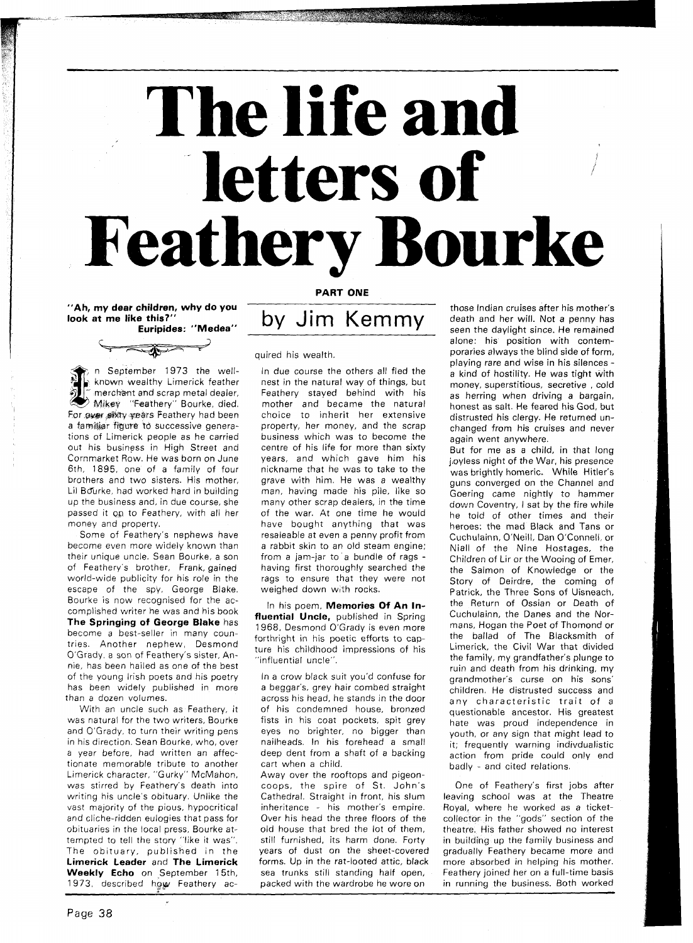## **The life and**  letters of **Feathery**

**"Ah, my dear children, why do you look at me like this?" Euripides: "Medea"** 

**READER** 

**PART ONE** 

quired his wealth.

## by Jim Kemmy

n September 1973 the well-<br>known wealthy Limerick feather<br>merchant and scrap metal dealer, **Exhown weathly Limerick Teather**<br> **Exhibition** "Feathery" Bourke, died.<br> **Exhibition** Teathery Bourke, died. For ower sixty years Feathery had been a familiar figure to successive generations of Limerick people as he carried out his business in High Street and Cornmarket Row. He was born on June 6th, 1895, one of a family of four brothers and two sisters. His mother, Lil Bourke, had worked hard in building up the business and, in due course, she passed it on to Feathery, with all her

money and property Some of Feathery's nephews have become even more widely known than their unique uncle. Sean Bourke, a son of Feathery's brother, Frank, gained world-wide publicity for his role in the escape of the spy, George Blake. Bourke is now recognised for the accomplished writer he was and his book **The Springing of George Blake** has become a best-seller in many countries. Another nephew, Desmond O'Grady, a son of Feathery's sister, Annie, has been hailed as one of the best of the young Irish poets and his poetry has been widely published in more than a dozen volumes

With an uncle such as Feathery, it was natural for the two writers, Bourke and O'Grady, to turn their writing pens in his direction. Sean Bourke, who, over a year before, had written an affectionate memorable tribute to another Limerick character, "Gurky" McMahon, was stirred by Feathery's death into writing his uncle's obituary. Unlike the vast majority of the pious, hypocritical and cliche-ridden eulogies that pass for obituaries in the local press, Bourke attempted to tell the story "like it was". The obituary, published in the **Limerick Leader** and **The Limerick Weekly Echo** on September 15th, 1973, described how Feathery acIn due course the others all fled the nest in the natural way of things, but Feathery staved behind with his mother and became the natural choice to inherit her extensive property, her money, and the scrap business which was to become the centre of his life for more than sixty years, and which gave him his nickname that he was to take to the grave with him. He was a wealthy man, having made his pile, like so many other scrap dealers, in the time of the war. At one time he would have bought anything that was resaleable at even a penny profit from a rabbit skin to an old steam engine; from a jam-jar to'a bundle of rags having first thoroughly searched the

In his poem, **Memories Of An Influential Uncle,** published in Spring 1968, Desmond O'Grady is even more forthright in his poetic efforts to capture his childhood impressions of his "influential uncle".

rags to ensure that they were not

weighed down with rocks.

In a crow black suit you'd confuse for a beggar's, grey hair combed straight across his head, he stands in the door of his condemned house, bronzed fists in his coat pockets, spit grey eyes no brighter, no bigger than nailheads. In his forehead a small deep dent from a shaft of a backing cart when a child.

Away over the rooftops and pigeoncoops, the spire of St. John's Cathedral. Straight in front, his slum inheritance - his mother's empire. Over his head the three floors of the old house that bred the lot of them, still furnished, its harm done. Forty years of dust on the sheet-covered forms. Up in the rat-looted attic, black sea trunks still standing half open, packed with the wardrobe he wore on

those Indian cruises after his mother's death and her will. Not a penny has seen the daylight since. He remained alone: his position with contemporaries always the blind side of form, playing rare and wise in his silences a kind of hostility. He was tight with money, superstitious, secretive . cold as herring when driving a bargain, honest as salt. He feared his God, but distrusted his clergy. He returned unchanged from his cruises and never again went anywhere.

But for me as a child, in that long joyless night of the War, his presence was brightly homeric. While Hitler's guns converged on the Channel and Goering came nightly to hammer down Coventry, I sat by the fire while he told of other times and their heroes: the mad Black and Tans or Cuchulainn, O'Neill, Dan O'Connell, or Niall of the Nine Hostages, the Children of Lir or the Wooing of Emer, the Salmon of Knowledge or the Story of Deirdre, the coming of Patrick, the Three Sons of Uisneach, the Return of Ossian or Death of Cuchulainn, the Danes and the Normans, Hogan the Poet of Thomond or the ballad of The Blacksmith of Limerick, the Civil War that divided the family, my grandfather's plunge to ruin and death from his drinking, my grandmother's curse on his sons' children. He distrusted success and any characteristic trait of a questionable ancestor. His greatest hate was proud independence in youth, or any sign that might lead to it; frequently warning indwdualistic action from pride could only end badly - and cited relations.

One of Feathery's first jobs after leaving school was at the Theatre Royal, where he worked as a ticketcollector in the "gods" section of the theatre. His father showed no interest in building up the family business and gradually Feathery became more and more absorbed in helping his mother. Feathery joined her on a full-time basis in running the business. Both worked